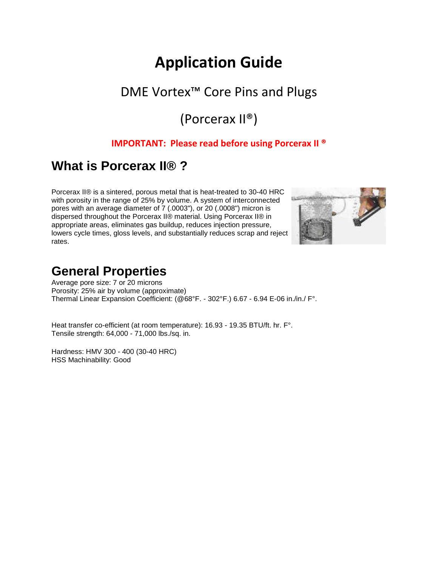# **Application Guide**

## DME Vortex™ Core Pins and Plugs

## (Porcerax II®)

#### **IMPORTANT: Please read before using Porcerax II ®**

### **What is Porcerax II® ?**

Porcerax II® is a sintered, porous metal that is heat-treated to 30-40 HRC with porosity in the range of 25% by volume. A system of interconnected pores with an average diameter of 7 (.0003"), or 20 (.0008") micron is dispersed throughout the Porcerax II® material. Using Porcerax II® in appropriate areas, eliminates gas buildup, reduces injection pressure, lowers cycle times, gloss levels, and substantially reduces scrap and reject rates.



### **General Properties**

Average pore size: 7 or 20 microns Porosity: 25% air by volume (approximate) Thermal Linear Expansion Coefficient: (@68°F. - 302°F.) 6.67 - 6.94 E-06 in./in./ F°.

Heat transfer co-efficient (at room temperature): 16.93 - 19.35 BTU/ft. hr. F°. Tensile strength: 64,000 - 71,000 lbs./sq. in.

Hardness: HMV 300 - 400 (30-40 HRC) HSS Machinability: Good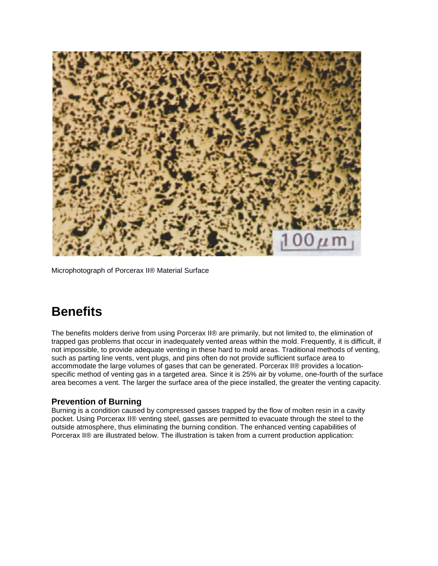

Microphotograph of Porcerax II® Material Surface

### **Benefits**

The benefits molders derive from using Porcerax II® are primarily, but not limited to, the elimination of trapped gas problems that occur in inadequately vented areas within the mold. Frequently, it is difficult, if not impossible, to provide adequate venting in these hard to mold areas. Traditional methods of venting, such as parting line vents, vent plugs, and pins often do not provide sufficient surface area to accommodate the large volumes of gases that can be generated. Porcerax II® provides a locationspecific method of venting gas in a targeted area. Since it is 25% air by volume, one-fourth of the surface area becomes a vent. The larger the surface area of the piece installed, the greater the venting capacity.

#### **Prevention of Burning**

Burning is a condition caused by compressed gasses trapped by the flow of molten resin in a cavity pocket. Using Porcerax II® venting steel, gasses are permitted to evacuate through the steel to the outside atmosphere, thus eliminating the burning condition. The enhanced venting capabilities of Porcerax II® are illustrated below. The illustration is taken from a current production application: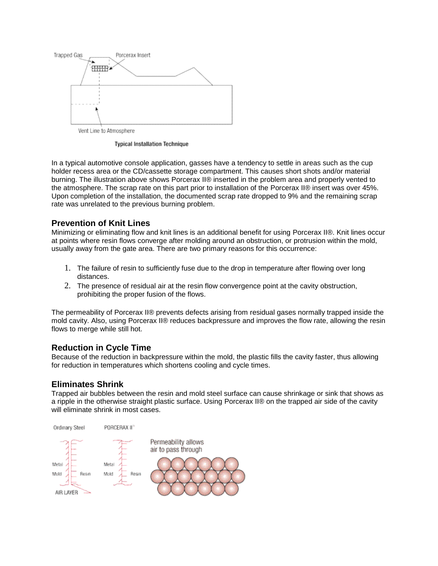

**Typical Installation Technique** 

In a typical automotive console application, gasses have a tendency to settle in areas such as the cup holder recess area or the CD/cassette storage compartment. This causes short shots and/or material burning. The illustration above shows Porcerax II® inserted in the problem area and properly vented to the atmosphere. The scrap rate on this part prior to installation of the Porcerax II® insert was over 45%. Upon completion of the installation, the documented scrap rate dropped to 9% and the remaining scrap rate was unrelated to the previous burning problem.

#### **Prevention of Knit Lines**

Minimizing or eliminating flow and knit lines is an additional benefit for using Porcerax II®. Knit lines occur at points where resin flows converge after molding around an obstruction, or protrusion within the mold, usually away from the gate area. There are two primary reasons for this occurrence:

- 1. The failure of resin to sufficiently fuse due to the drop in temperature after flowing over long distances.
- 2. The presence of residual air at the resin flow convergence point at the cavity obstruction, prohibiting the proper fusion of the flows.

The permeability of Porcerax II® prevents defects arising from residual gases normally trapped inside the mold cavity. Also, using Porcerax II® reduces backpressure and improves the flow rate, allowing the resin flows to merge while still hot.

#### **Reduction in Cycle Time**

Because of the reduction in backpressure within the mold, the plastic fills the cavity faster, thus allowing for reduction in temperatures which shortens cooling and cycle times.

#### **Eliminates Shrink**

Trapped air bubbles between the resin and mold steel surface can cause shrinkage or sink that shows as a ripple in the otherwise straight plastic surface. Using Porcerax II® on the trapped air side of the cavity will eliminate shrink in most cases.

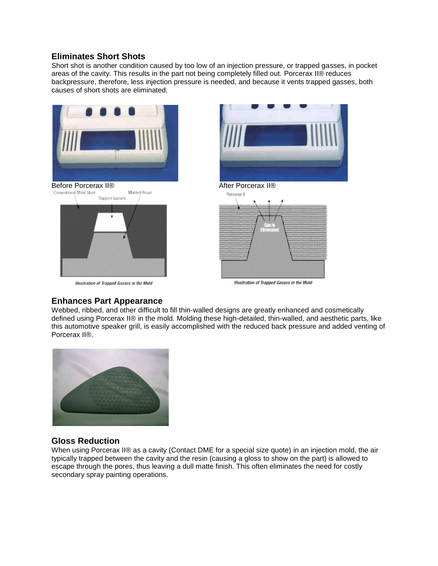#### **Eliminates Short Shots**

Short shot is another condition caused by too low of an injection pressure, or trapped gasses, in pocket areas of the cavity. This results in the part not being completely filled out. Porcerax II® reduces backpressure, therefore, less injection pressure is needed, and because it vents trapped gasses, both causes of short shots are eliminated.





#### **Enhances Part Appearance**

Webbed, ribbed, and other difficult to fill thin-walled designs are greatly enhanced and cosmetically defined using Porcerax II® in the mold. Molding these high-detailed, thin-walled, and aesthetic parts, like this automotive speaker grill, is easily accomplished with the reduced back pressure and added venting of Porcerax II®.



#### **Gloss Reduction**

When using Porcerax II® as a cavity (Contact DME for a special size quote) in an injection mold, the air typically trapped between the cavity and the resin (causing a gloss to show on the part) is allowed to escape through the pores, thus leaving a dull matte finish. This often eliminates the need for costly secondary spray painting operations.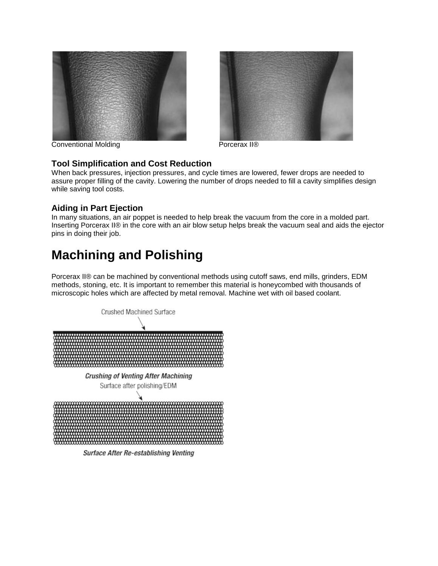



#### Conventional Molding **Porcerax II®**

#### **Tool Simplification and Cost Reduction**

When back pressures, injection pressures, and cycle times are lowered, fewer drops are needed to assure proper filling of the cavity. Lowering the number of drops needed to fill a cavity simplifies design while saving tool costs.

#### **Aiding in Part Ejection**

In many situations, an air poppet is needed to help break the vacuum from the core in a molded part. Inserting Porcerax II® in the core with an air blow setup helps break the vacuum seal and aids the ejector pins in doing their job.

## **Machining and Polishing**

Porcerax II® can be machined by conventional methods using cutoff saws, end mills, grinders, EDM methods, stoning, etc. It is important to remember this material is honeycombed with thousands of microscopic holes which are affected by metal removal. Machine wet with oil based coolant.



**Surface After Re-establishing Venting**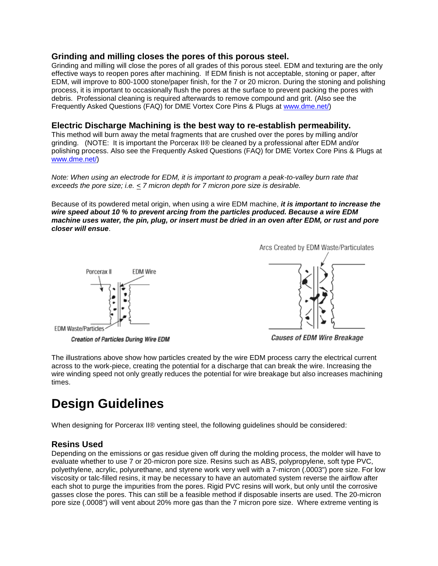#### **Grinding and milling closes the pores of this porous steel.**

Grinding and milling will close the pores of all grades of this porous steel. EDM and texturing are the only effective ways to reopen pores after machining. If EDM finish is not acceptable, stoning or paper, after EDM, will improve to 800-1000 stone/paper finish, for the 7 or 20 micron. During the stoning and polishing process, it is important to occasionally flush the pores at the surface to prevent packing the pores with debris. Professional cleaning is required afterwards to remove compound and grit. (Also see the Frequently Asked Questions (FAQ) for DME Vortex Core Pins & Plugs at [www.dme.net/\)](http://www.dme.net/)

#### **Electric Discharge Machining is the best way to re-establish permeability.**

This method will burn away the metal fragments that are crushed over the pores by milling and/or grinding. (NOTE: It is important the Porcerax II® be cleaned by a professional after EDM and/or polishing process. Also see the Frequently Asked Questions (FAQ) for DME Vortex Core Pins & Plugs at [www.dme.net/\)](http://www.dme.net/)

*Note: When using an electrode for EDM, it is important to program a peak-to-valley burn rate that exceeds the pore size; i.e. < 7 micron depth for 7 micron pore size is desirable.*

Because of its powdered metal origin, when using a wire EDM machine, *it is important to increase the wire speed about 10 % to prevent arcing from the particles produced. Because a wire EDM machine uses water, the pin, plug, or insert must be dried in an oven after EDM, or rust and pore closer will ensue*.







**Causes of EDM Wire Breakage** 

The illustrations above show how particles created by the wire EDM process carry the electrical current across to the work-piece, creating the potential for a discharge that can break the wire. Increasing the wire winding speed not only greatly reduces the potential for wire breakage but also increases machining times.

## **Design Guidelines**

When designing for Porcerax II® venting steel, the following guidelines should be considered:

#### **Resins Used**

Depending on the emissions or gas residue given off during the molding process, the molder will have to evaluate whether to use 7 or 20-micron pore size. Resins such as ABS, polypropylene, soft type PVC, polyethylene, acrylic, polyurethane, and styrene work very well with a 7-micron (.0003") pore size. For low viscosity or talc-filled resins, it may be necessary to have an automated system reverse the airflow after each shot to purge the impurities from the pores. Rigid PVC resins will work, but only until the corrosive gasses close the pores. This can still be a feasible method if disposable inserts are used. The 20-micron pore size (.0008") will vent about 20% more gas than the 7 micron pore size. Where extreme venting is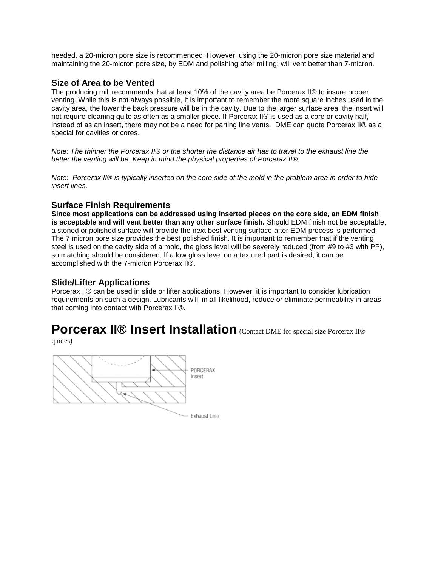needed, a 20-micron pore size is recommended. However, using the 20-micron pore size material and maintaining the 20-micron pore size, by EDM and polishing after milling, will vent better than 7-micron.

#### **Size of Area to be Vented**

The producing mill recommends that at least 10% of the cavity area be Porcerax II® to insure proper venting. While this is not always possible, it is important to remember the more square inches used in the cavity area, the lower the back pressure will be in the cavity. Due to the larger surface area, the insert will not require cleaning quite as often as a smaller piece. If Porcerax II® is used as a core or cavity half, instead of as an insert, there may not be a need for parting line vents. DME can quote Porcerax II® as a special for cavities or cores.

*Note: The thinner the Porcerax II® or the shorter the distance air has to travel to the exhaust line the better the venting will be. Keep in mind the physical properties of Porcerax II®.*

*Note: Porcerax II® is typically inserted on the core side of the mold in the problem area in order to hide insert lines.*

#### **Surface Finish Requirements**

**Since most applications can be addressed using inserted pieces on the core side, an EDM finish is acceptable and will vent better than any other surface finish.** Should EDM finish not be acceptable, a stoned or polished surface will provide the next best venting surface after EDM process is performed. The 7 micron pore size provides the best polished finish. It is important to remember that if the venting steel is used on the cavity side of a mold, the gloss level will be severely reduced (from #9 to #3 with PP), so matching should be considered. If a low gloss level on a textured part is desired, it can be accomplished with the 7-micron Porcerax II®.

#### **Slide/Lifter Applications**

Porcerax II® can be used in slide or lifter applications. However, it is important to consider lubrication requirements on such a design. Lubricants will, in all likelihood, reduce or eliminate permeability in areas that coming into contact with Porcerax II®.

### **Porcerax II® Insert Installation** (Contact DME for special size Porcerax II®

quotes)

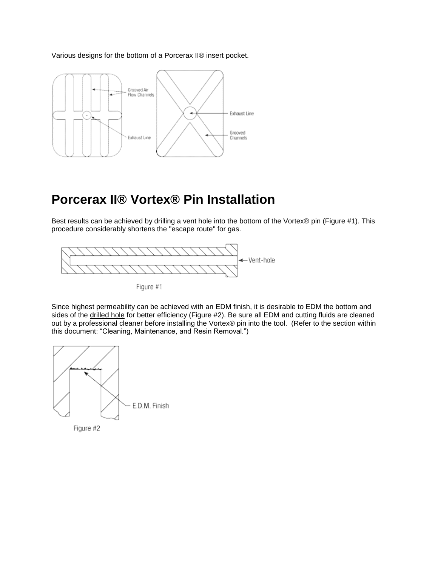Various designs for the bottom of a Porcerax II® insert pocket.



## **Porcerax II® Vortex® Pin Installation**

Best results can be achieved by drilling a vent hole into the bottom of the Vortex® pin (Figure #1). This procedure considerably shortens the "escape route" for gas.



Figure #1

Since highest permeability can be achieved with an EDM finish, it is desirable to EDM the bottom and sides of the drilled hole for better efficiency (Figure #2). Be sure all EDM and cutting fluids are cleaned out by a professional cleaner before installing the Vortex® pin into the tool. (Refer to the section within this document: "Cleaning, Maintenance, and Resin Removal.")



Figure #2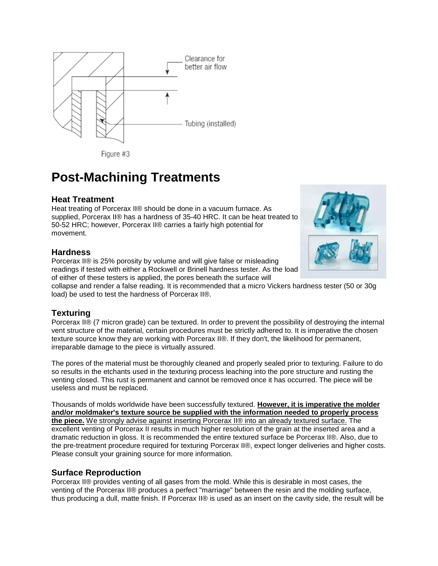

Figure #3

### **Post-Machining Treatments**

#### **Heat Treatment**

Heat treating of Porcerax II® should be done in a vacuum furnace. As supplied, Porcerax II® has a hardness of 35-40 HRC. It can be heat treated to 50-52 HRC; however, Porcerax II® carries a fairly high potential for movement.

#### **Hardness**

Porcerax II® is 25% porosity by volume and will give false or misleading readings if tested with either a Rockwell or Brinell hardness tester. As the load of either of these testers is applied, the pores beneath the surface will



collapse and render a false reading. It is recommended that a micro Vickers hardness tester (50 or 30g load) be used to test the hardness of Porcerax II®.

#### **Texturing**

Porcerax II® (7 micron grade) can be textured. In order to prevent the possibility of destroying the internal vent structure of the material, certain procedures must be strictly adhered to. It is imperative the chosen texture source know they are working with Porcerax II®. If they don't, the likelihood for permanent, irreparable damage to the piece is virtually assured.

The pores of the material must be thoroughly cleaned and properly sealed prior to texturing. Failure to do so results in the etchants used in the texturing process leaching into the pore structure and rusting the venting closed. This rust is permanent and cannot be removed once it has occurred. The piece will be useless and must be replaced.

Thousands of molds worldwide have been successfully textured. **However, it is imperative the molder and/or moldmaker's texture source be supplied with the information needed to properly process the piece.** We strongly advise against inserting Porcerax II® into an already textured surface. The excellent venting of Porcerax II results in much higher resolution of the grain at the inserted area and a dramatic reduction in gloss. It is recommended the entire textured surface be Porcerax II®. Also, due to the pre-treatment procedure required for texturing Porcerax II®, expect longer deliveries and higher costs. Please consult your graining source for more information.

#### **Surface Reproduction**

Porcerax II® provides venting of all gases from the mold. While this is desirable in most cases, the venting of the Porcerax II® produces a perfect "marriage" between the resin and the molding surface, thus producing a dull, matte finish. If Porcerax II® is used as an insert on the cavity side, the result will be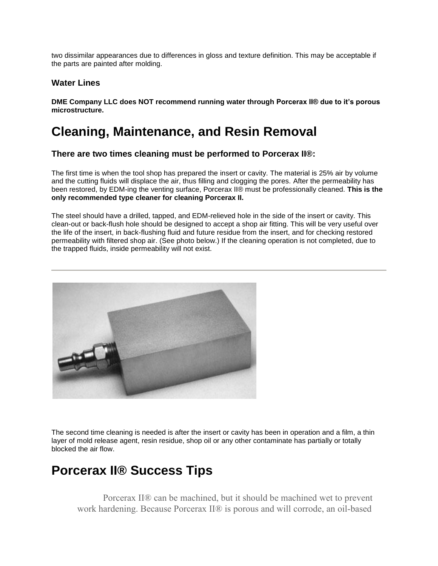two dissimilar appearances due to differences in gloss and texture definition. This may be acceptable if the parts are painted after molding.

#### **Water Lines**

**DME Company LLC does NOT recommend running water through Porcerax II® due to it's porous microstructure.** 

## **Cleaning, Maintenance, and Resin Removal**

#### **There are two times cleaning must be performed to Porcerax II®:**

The first time is when the tool shop has prepared the insert or cavity. The material is 25% air by volume and the cutting fluids will displace the air, thus filling and clogging the pores. After the permeability has been restored, by EDM-ing the venting surface, Porcerax II® must be professionally cleaned. **This is the only recommended type cleaner for cleaning Porcerax II.**

The steel should have a drilled, tapped, and EDM-relieved hole in the side of the insert or cavity. This clean-out or back-flush hole should be designed to accept a shop air fitting. This will be very useful over the life of the insert, in back-flushing fluid and future residue from the insert, and for checking restored permeability with filtered shop air. (See photo below.) If the cleaning operation is not completed, due to the trapped fluids, inside permeability will not exist.



The second time cleaning is needed is after the insert or cavity has been in operation and a film, a thin layer of mold release agent, resin residue, shop oil or any other contaminate has partially or totally blocked the air flow.

### **Porcerax II® Success Tips**

Porcerax II® can be machined, but it should be machined wet to prevent work hardening. Because Porcerax II® is porous and will corrode, an oil-based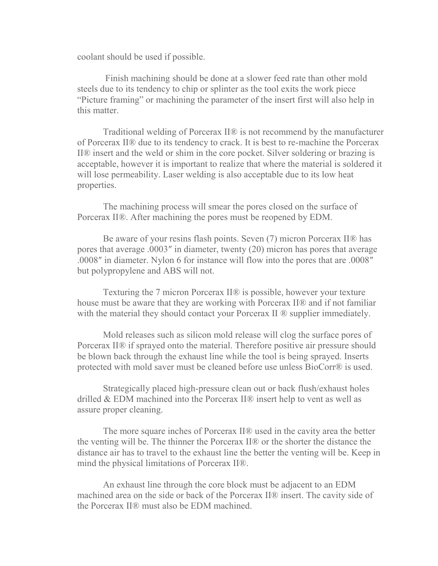coolant should be used if possible.

Finish machining should be done at a slower feed rate than other mold steels due to its tendency to chip or splinter as the tool exits the work piece "Picture framing" or machining the parameter of the insert first will also help in this matter.

Traditional welding of Porcerax II® is not recommend by the manufacturer of Porcerax II® due to its tendency to crack. It is best to re-machine the Porcerax II® insert and the weld or shim in the core pocket. Silver soldering or brazing is acceptable, however it is important to realize that where the material is soldered it will lose permeability. Laser welding is also acceptable due to its low heat properties.

The machining process will smear the pores closed on the surface of Porcerax II®. After machining the pores must be reopened by EDM.

Be aware of your resins flash points. Seven (7) micron Porcerax II® has pores that average .0003″ in diameter, twenty (20) micron has pores that average .0008″ in diameter. Nylon 6 for instance will flow into the pores that are .0008″ but polypropylene and ABS will not.

Texturing the 7 micron Porcerax II® is possible, however your texture house must be aware that they are working with Porcerax II® and if not familiar with the material they should contact your Porcerax II  $\mathcal{D}$  supplier immediately.

Mold releases such as silicon mold release will clog the surface pores of Porcerax II® if sprayed onto the material. Therefore positive air pressure should be blown back through the exhaust line while the tool is being sprayed. Inserts protected with mold saver must be cleaned before use unless BioCorr® is used.

Strategically placed high-pressure clean out or back flush/exhaust holes drilled & EDM machined into the Porcerax II® insert help to vent as well as assure proper cleaning.

The more square inches of Porcerax II® used in the cavity area the better the venting will be. The thinner the Porcerax II® or the shorter the distance the distance air has to travel to the exhaust line the better the venting will be. Keep in mind the physical limitations of Porcerax II®.

An exhaust line through the core block must be adjacent to an EDM machined area on the side or back of the Porcerax II® insert. The cavity side of the Porcerax II® must also be EDM machined.